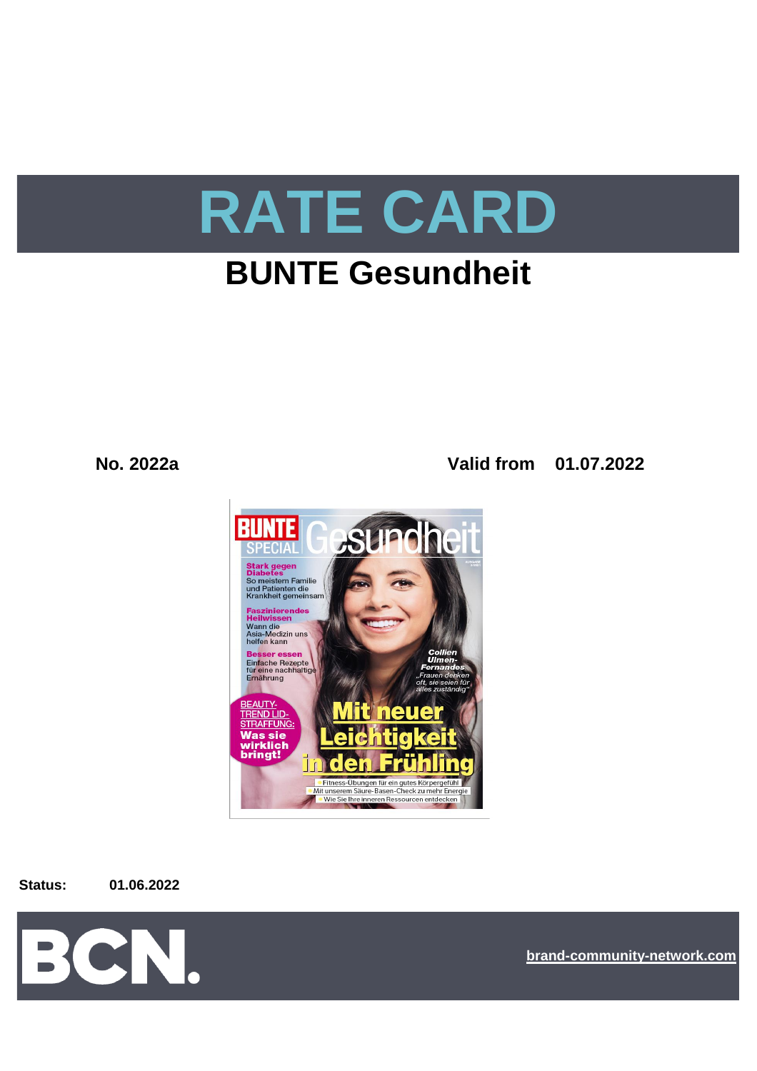

# **BUNTE Gesundheit**

**No. 2022a Valid from 01.07.2022**



**Status: 01.06.2022**



**[bra](https://bcn.burda.com/)nd-community-network.com**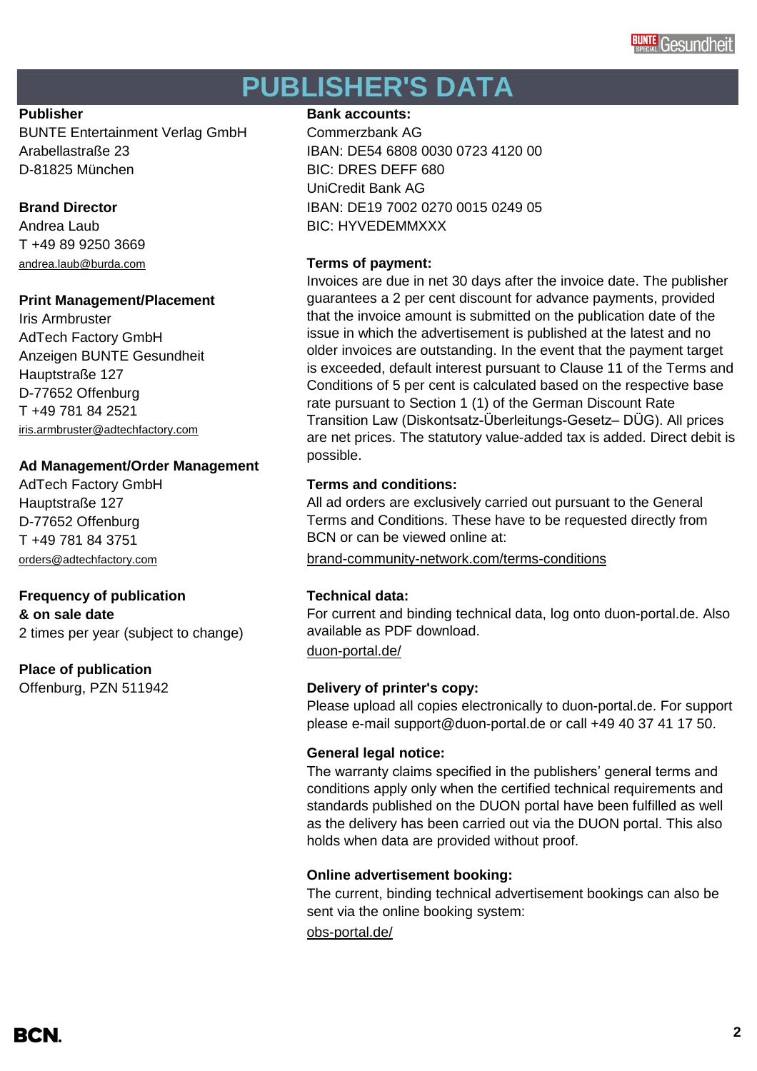# **PUBLISHER'S DATA**

BUNTE Entertainment Verlag GmbH Commerzbank AG D-81825 München BIC: DRES DEFF 680

T +49 89 9250 3669 [andrea.laub@burda.com](mailto:heike.lauber@burda.com) **Terms of payment:**

# **Print Management/Placement**

Iris Armbruster AdTech Factory GmbH Anzeigen BUNTE Gesundheit Hauptstraße 127 D-77652 Offenburg T +49 781 84 2521 [iris.armbruster@adtechfactory.com](mailto:iris.armbruster@adtechfactory.com)

# **Ad Management/Order Management**

Hauptstraße 127 D-77652 Offenburg T +49 781 84 3751

# **Frequency of publication Technical data:**

**& on sale date** 2 times per year (subject to change)

# **Place of publication**

## **Publisher Bank accounts: Bank accounts:**

Arabellastraße 23 IBAN: DE54 6808 0030 0723 4120 00 UniCredit Bank AG **Brand Director IBAN: DE19 7002 0270 0015 0249 05** Andrea Laub BIC: HYVEDEMMXXX

Invoices are due in net 30 days after the invoice date. The publisher guarantees a 2 per cent discount for advance payments, provided that the invoice amount is submitted on the publication date of the issue in which the advertisement is published at the latest and no older invoices are outstanding. In the event that the payment target is exceeded, default interest pursuant to Clause 11 of the Terms and Conditions of 5 per cent is calculated based on the respective base rate pursuant to Section 1 (1) of the German Discount Rate Transition Law (Diskontsatz-Überleitungs-Gesetz– DÜG). All prices are net prices. The statutory value-added tax is added. Direct debit is possible.

# AdTech Factory GmbH **Terms and conditions:**

All ad orders are exclusively carried out pursuant to the General Terms and Conditions. These have to be requested directly from BCN or can be viewed online at:

[orders@adtechfactory.com](mailto:orders@adtechfactory.com) [brand-community-network.com/terms-conditions](https://bcn.burda.com/terms-conditions)

For current and binding technical data, log onto duon-portal.de. Also available as PDF download.

[duon-portal.de/](https://duon-portal.de/)

# Offenburg, PZN 511942 **Delivery of printer's copy:**

Please upload all copies electronically to duon-portal.de. For support please e-mail support@duon-portal.de or call +49 40 37 41 17 50.

## **General legal notice:**

The warranty claims specified in the publishers' general terms and conditions apply only when the certified technical requirements and standards published on the DUON portal have been fulfilled as well as the delivery has been carried out via the DUON portal. This also holds when data are provided without proof.

## **Online advertisement booking:**

The current, binding technical advertisement bookings can also be sent via the online booking system:

[obs-portal.de/](https://www.obs-portal.de/)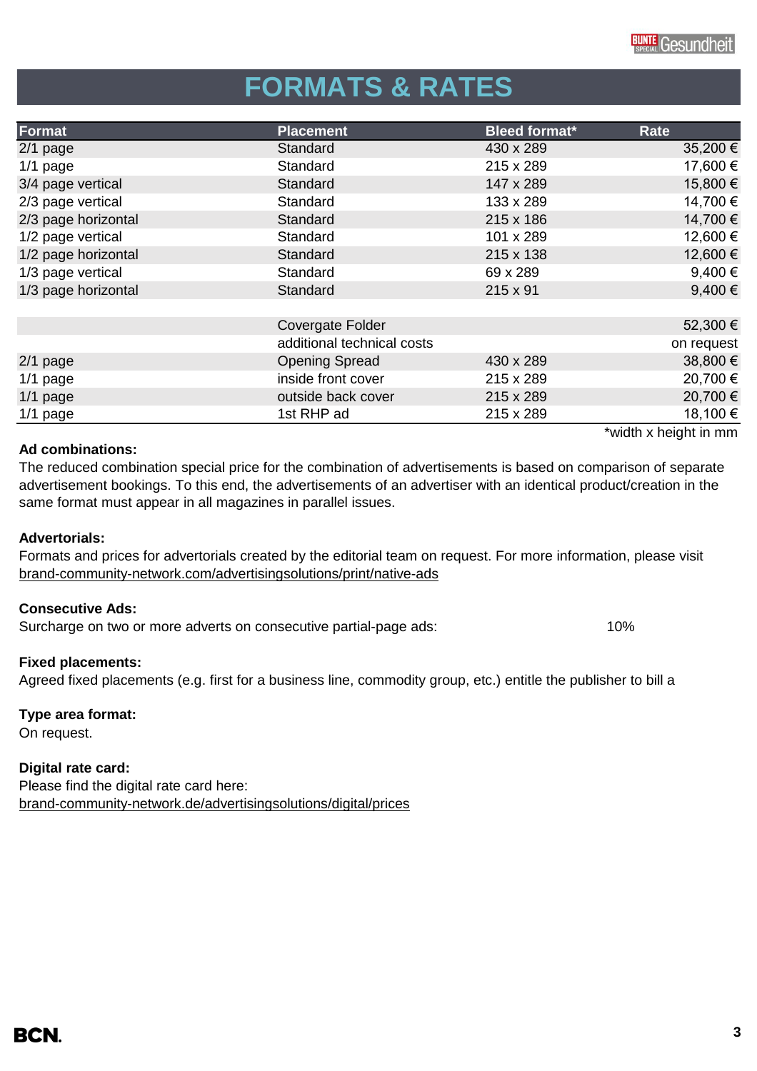# **FORMATS & RATES**

| Format              | <b>Placement</b>           | <b>Bleed format*</b> | Rate                  |
|---------------------|----------------------------|----------------------|-----------------------|
| $2/1$ page          | Standard                   | 430 x 289            | 35,200 €              |
| $1/1$ page          | Standard                   | 215 x 289            | 17,600 €              |
| 3/4 page vertical   | Standard                   | 147 x 289            | 15,800 €              |
| 2/3 page vertical   | Standard                   | 133 x 289            | 14,700 €              |
| 2/3 page horizontal | Standard                   | 215 x 186            | 14,700 €              |
| 1/2 page vertical   | Standard                   | 101 x 289            | 12,600 €              |
| 1/2 page horizontal | Standard                   | 215 x 138            | 12,600 €              |
| 1/3 page vertical   | Standard                   | 69 x 289             | 9,400€                |
| 1/3 page horizontal | Standard                   | $215 \times 91$      | $9,400 \in$           |
|                     |                            |                      |                       |
|                     | Covergate Folder           |                      | 52,300 €              |
|                     | additional technical costs |                      | on request            |
| $2/1$ page          | <b>Opening Spread</b>      | 430 x 289            | 38,800 €              |
| $1/1$ page          | inside front cover         | 215 x 289            | 20,700 €              |
| $1/1$ page          | outside back cover         | 215 x 289            | 20,700 €              |
| $1/1$ page          | 1st RHP ad                 | 215 x 289            | 18,100 €              |
|                     |                            |                      | *width x height in mm |

## **Ad combinations:**

The reduced combination special price for the combination of advertisements is based on comparison of separate advertisement bookings. To this end, the advertisements of an advertiser with an identical product/creation in the same format must appear in all magazines in parallel issues.

## **Advertorials:**

[brand-community-network.com/advertisin](https://bcn.burda.com/advertisingsolutions/print/native-ads)gsolutions/print/native-ads Formats and prices for advertorials created by the editorial team on request. For more information, please visit

## **Consecutive Ads:**

Surcharge on two or more adverts on consecutive partial-page ads: 10%

# **Fixed placements:**

Agreed fixed placements (e.g. first for a business line, commodity group, etc.) entitle the publisher to bill a

# **Type area format:**

On request.

# **Digital rate card:**

Please find the digital rate card here: [brand-community-network.de/advertisingsolutions/digital/prices](https://bcn.burda.com/advertisingsolutions/digital/prices) \*width x height in mm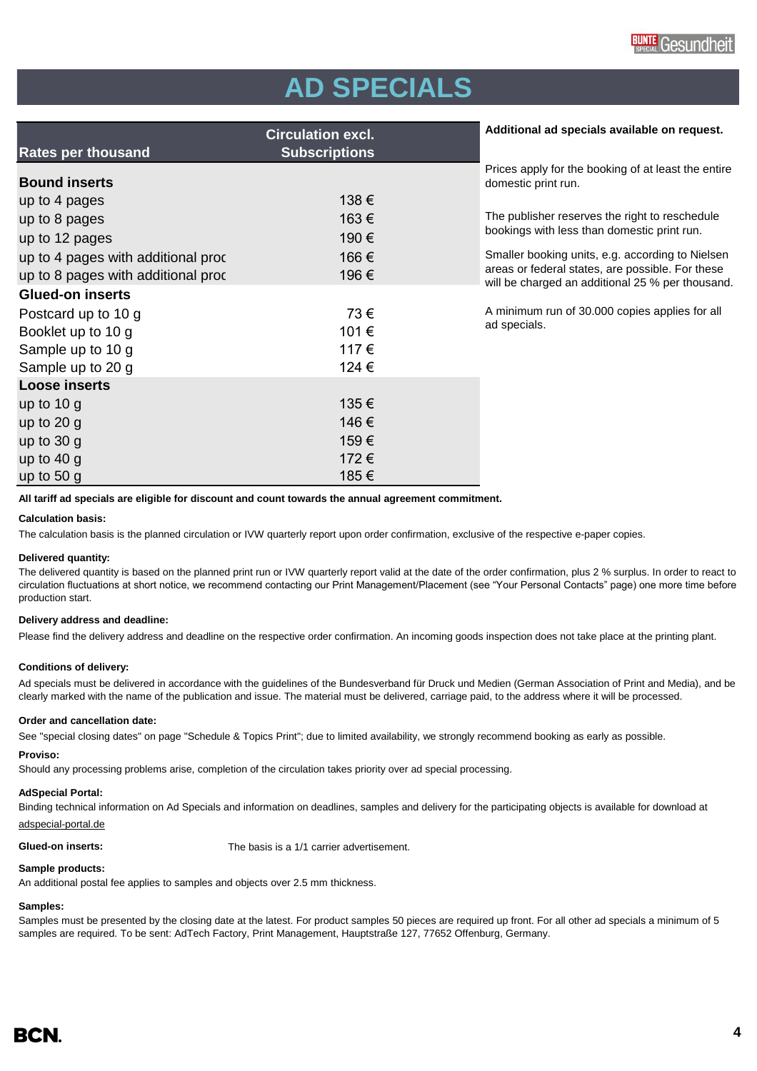# **AD SPECIALS**

|                                    | <b>Circulation excl.</b> | Additional ad specials available on request.                                                         |
|------------------------------------|--------------------------|------------------------------------------------------------------------------------------------------|
| <b>Rates per thousand</b>          | <b>Subscriptions</b>     |                                                                                                      |
| <b>Bound inserts</b>               |                          | Prices apply for the booking of at least the entire<br>domestic print run.                           |
| up to 4 pages                      | 138€                     |                                                                                                      |
| up to 8 pages                      | 163€                     | The publisher reserves the right to reschedule                                                       |
| up to 12 pages                     | 190€                     | bookings with less than domestic print run.                                                          |
| up to 4 pages with additional proc | 166€                     | Smaller booking units, e.g. according to Nielsen                                                     |
| up to 8 pages with additional proc | 196€                     | areas or federal states, are possible. For these<br>will be charged an additional 25 % per thousand. |
| <b>Glued-on inserts</b>            |                          |                                                                                                      |
| Postcard up to 10 g                | 73€                      | A minimum run of 30.000 copies applies for all                                                       |
| Booklet up to 10 g                 | 101€                     | ad specials.                                                                                         |
| Sample up to 10 g                  | 117€                     |                                                                                                      |
| Sample up to 20 g                  | 124 €                    |                                                                                                      |
| <b>Loose inserts</b>               |                          |                                                                                                      |
| up to $10 g$                       | 135€                     |                                                                                                      |
| up to $20$ g                       | 146€                     |                                                                                                      |
| up to $30 g$                       | 159€                     |                                                                                                      |
| up to $40 g$                       | 172€                     |                                                                                                      |
| up to $50 g$                       | 185€                     |                                                                                                      |

**All tariff ad specials are eligible for discount and count towards the annual agreement commitment.**

### **Calculation basis:**

The calculation basis is the planned circulation or IVW quarterly report upon order confirmation, exclusive of the respective e-paper copies.

### **Delivered quantity:**

The delivered quantity is based on the planned print run or IVW quarterly report valid at the date of the order confirmation, plus 2 % surplus. In order to react to circulation fluctuations at short notice, we recommend contacting our Print Management/Placement (see "Your Personal Contacts" page) one more time before production start.

### **Delivery address and deadline:**

Please find the delivery address and deadline on the respective order confirmation. An incoming goods inspection does not take place at the printing plant.

### **Conditions of delivery:**

Ad specials must be delivered in accordance with the guidelines of the Bundesverband für Druck und Medien (German Association of Print and Media), and be clearly marked with the name of the publication and issue. The material must be delivered, carriage paid, to the address where it will be processed.

### **Order and cancellation date:**

See "special closing dates" on page "Schedule & Topics Print"; due to limited availability, we strongly recommend booking as early as possible.

### **Proviso:**

Should any processing problems arise, completion of the circulation takes priority over ad special processing.

### **AdSpecial Portal:**

Binding technical information on Ad Specials and information on deadlines, samples and delivery for the participating objects is available for download at adspecial-portal.de

**Glued-on inserts:** The basis is a 1/1 carrier advertisement.

### **Sample products:**

An additional postal fee applies to samples and objects over 2.5 mm thickness.

### **Samples:**

Samples must be presented by the closing date at the latest. For product samples 50 pieces are required up front. For all other ad specials a minimum of 5 samples are required. To be sent: AdTech Factory, Print Management, Hauptstraße 127, 77652 Offenburg, Germany.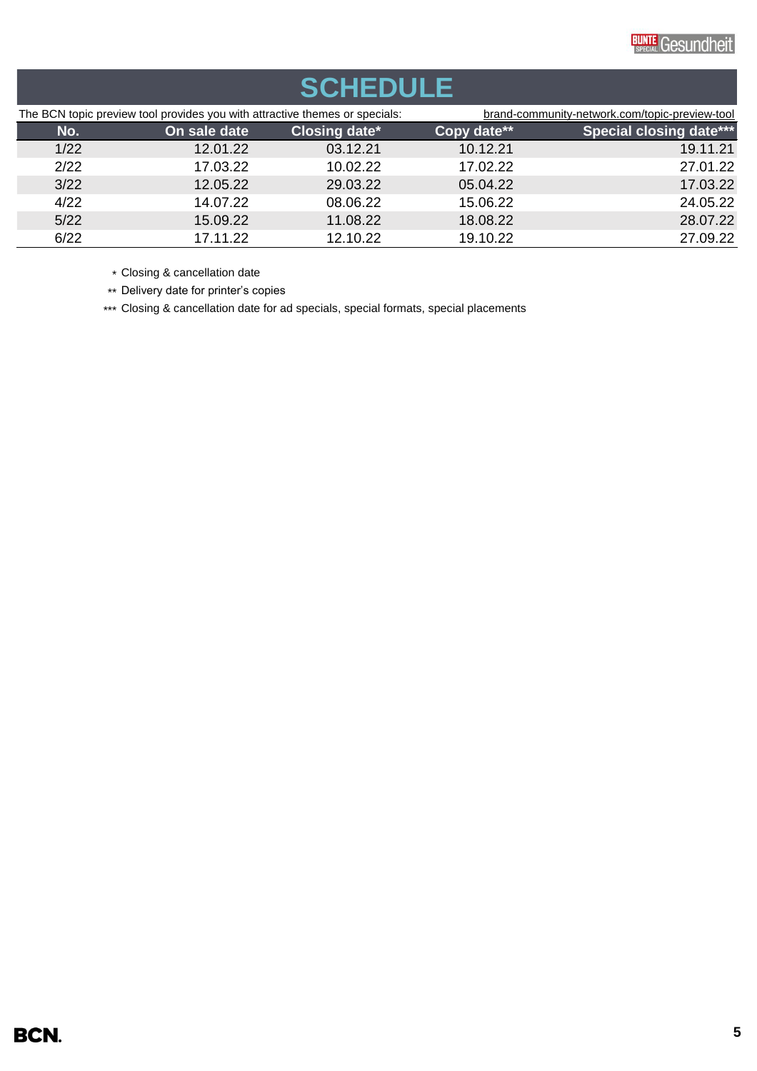

# **SCHEDULE**

| The BCN topic preview tool provides you with attractive themes or specials: |              | brand-community-network.com/topic-preview-tool |             |                                |
|-----------------------------------------------------------------------------|--------------|------------------------------------------------|-------------|--------------------------------|
| No.                                                                         | On sale date | <b>Closing date*</b>                           | Copy date** | <b>Special closing date***</b> |
| 1/22                                                                        | 12.01.22     | 03.12.21                                       | 10.12.21    | 19.11.21                       |
| 2/22                                                                        | 17.03.22     | 10.02.22                                       | 17.02.22    | 27.01.22                       |
| 3/22                                                                        | 12.05.22     | 29.03.22                                       | 05.04.22    | 17.03.22                       |
| 4/22                                                                        | 14.07.22     | 08.06.22                                       | 15.06.22    | 24.05.22                       |
| 5/22                                                                        | 15.09.22     | 11.08.22                                       | 18.08.22    | 28.07.22                       |
| 6/22                                                                        | 17.11.22     | 12.10.22                                       | 19.10.22    | 27.09.22                       |

\* Closing & cancellation date

\*\* Delivery date for printer's copies

\*\*\* Closing & cancellation date for ad specials, special formats, special placements